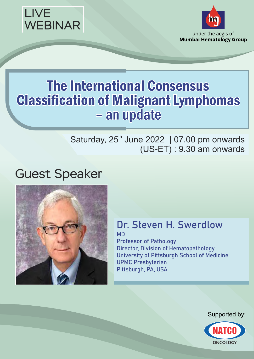



# **The International Consensus Classification of Malignant Lymphomas** - an update

#### Saturday,  $25<sup>th</sup>$  June 2022 | 07.00 pm onwards (US-ET) : 9.30 am onwards

# Guest Speaker



#### Dr. Steven H. Swerdlow MD

Professor of Pathology Director, Division of Hematopathology University of Pittsburgh School of Medicine UPMC Presbyterian Pittsburgh, PA, USA

Supported by:

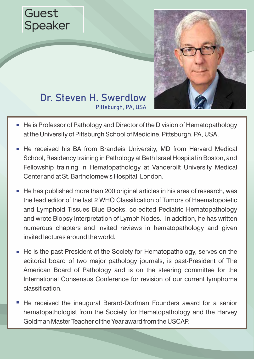



#### Dr. Steven H. Swerdlow Pittsburgh, PA, USA

- He is Professor of Pathology and Director of the Division of Hematopathology at the University of Pittsburgh School of Medicine, Pittsburgh, PA, USA.
- He received his BA from Brandeis University, MD from Harvard Medical School, Residency training in Pathology at Beth Israel Hospital in Boston, and Fellowship training in Hematopathology at Vanderbilt University Medical Center and at St. Bartholomew's Hospital, London.
- He has published more than 200 original articles in his area of research, was the lead editor of the last 2 WHO Classification of Tumors of Haematopoietic and Lymphoid Tissues Blue Books, co-edited Pediatric Hematopathology and wrote Biopsy Interpretation of Lymph Nodes. In addition, he has written numerous chapters and invited reviews in hematopathology and given invited lectures around the world.
- $\blacksquare$  He is the past-President of the Society for Hematopathology, serves on the editorial board of two major pathology journals, is past-President of The American Board of Pathology and is on the steering committee for the International Consensus Conference for revision of our current lymphoma classification.
- He received the inaugural Berard-Dorfman Founders award for a senior hematopathologist from the Society for Hematopathology and the Harvey Goldman Master Teacher of the Year award from the USCAP.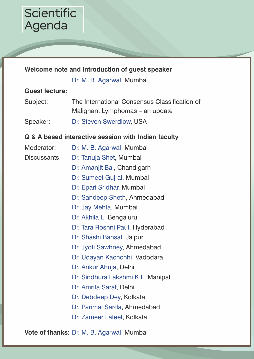#### **Scientific** Agenda

#### **Welcome note and introduction of guest speaker**

Dr. M. B. Agarwal, Mumbai

#### **Guest lecture:**

Subject: The International Consensus Classification of Malignant Lymphomas – an update Speaker: Dr. Steven Swerdlow, USA

#### **Q & A based interactive session with Indian faculty**

| Moderator:   | Dr. M. B. Agarwal, Mumbai         |
|--------------|-----------------------------------|
| Discussants: | Dr. Tanuja Shet, Mumbai           |
|              | Dr. Amanjit Bal, Chandigarh       |
|              | Dr. Sumeet Gujral, Mumbai         |
|              | Dr. Epari Sridhar, Mumbai         |
|              | Dr. Sandeep Sheth, Ahmedabad      |
|              | Dr. Jay Mehta, Mumbai             |
|              | Dr. Akhila L, Bengaluru           |
|              | Dr. Tara Roshni Paul, Hyderabad   |
|              | Dr. Shashi Bansal, Jaipur         |
|              | Dr. Jyoti Sawhney, Ahmedabad      |
|              | Dr. Udayan Kachchhi, Vadodara     |
|              | Dr. Ankur Ahuja, Delhi            |
|              | Dr. Sindhura Lakshmi K L, Manipal |
|              | Dr. Amrita Saraf, Delhi           |
|              | Dr. Debdeep Dey, Kolkata          |
|              | Dr. Parimal Sarda, Ahmedabad      |
|              | Dr. Zameer Lateef, Kolkata        |

**Vote of thanks:** Dr. M. B. Agarwal, Mumbai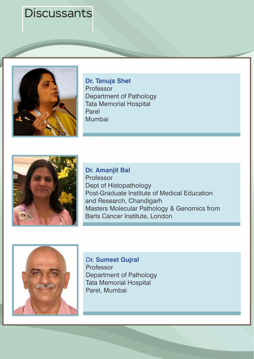

**Dr. Tanuja Shet** Professor Department of Pathology Tata Memorial Hospital Parel Mumbai



**Dr. Amanjit Bal** Professor Dept of Histopathology Post-Graduate Institute of Medical Education and Research, Chandigarh Masters Molecular Pathology & Genomics from Barts Cancer Institute, London



D**r. Sumeet Gujral** Professor Department of Pathology Tata Memorial Hospital Parel, Mumbai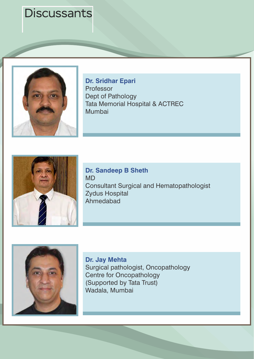

**Dr. Sridhar Epari**  Professor Dept of Pathology Tata Memorial Hospital & ACTREC Mumbai



**Dr. Sandeep B Sheth** MD Consultant Surgical and Hematopathologist Zydus Hospital Ahmedabad



**Dr. Jay Mehta** Surgical pathologist, Oncopathology Centre for Oncopathology (Supported by Tata Trust) Wadala, Mumbai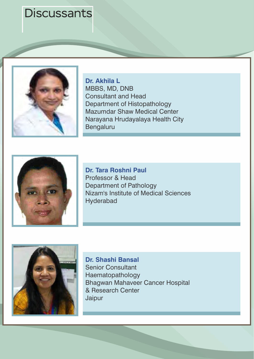

**Dr. Akhila L** MBBS, MD, DNB Consultant and Head Department of Histopathology Mazumdar Shaw Medical Center Narayana Hrudayalaya Health City Bengaluru



**Dr. Tara Roshni Paul** Professor & Head Department of Pathology Nizam's Institute of Medical Sciences Hyderabad



**Dr. Shashi Bansal**  Senior Consultant Haematopathology Bhagwan Mahaveer Cancer Hospital & Research Center Jaipur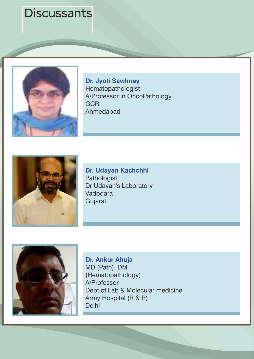

**Dr. Jyoti Sawhney**  Hematopathologist A/Professor in OncoPathology **GCRI** Ahmedabad



**Dr. Udayan Kachchhi** Pathologist Dr Udayan's Laboratory Vadodara Gujarat



**Dr. Ankur Ahuja** MD (Path), DM (Hematopathology) A/Professor Dept of Lab & Molecular medicine Army Hospital (R & R) Delhi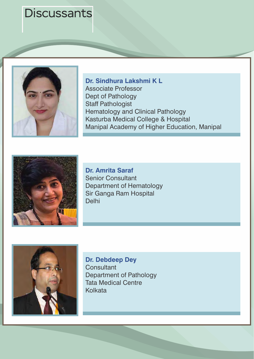

**Dr. Sindhura Lakshmi K L** Associate Professor Dept of Pathology Staff Pathologist Hematology and Clinical Pathology Kasturba Medical College & Hospital Manipal Academy of Higher Education, Manipal



**Dr. Amrita Saraf** Senior Consultant Department of Hematology Sir Ganga Ram Hospital Delhi



**Dr. Debdeep Dey Consultant** Department of Pathology Tata Medical Centre Kolkata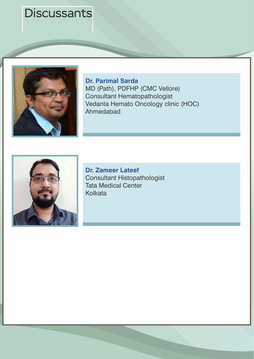

**Dr. Parimal Sarda**  MD (Path), PDFHP (CMC Vellore) Consultant Hematopathologist Vedanta Hemato Oncology clinic (HOC) Ahmedabad



**Dr. Zameer Lateef** Consultant Histopathologist Tata Medical Center Kolkata